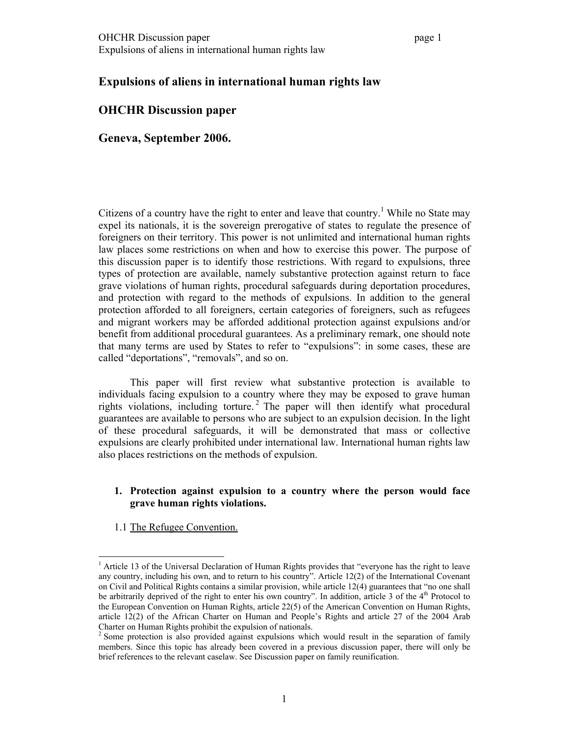# **Expulsions of aliens in international human rights law**

### **OHCHR Discussion paper**

**Geneva, September 2006.** 

Citizens of a country have the right to enter and leave that country.<sup>1</sup> While no State may expel its nationals, it is the sovereign prerogative of states to regulate the presence of foreigners on their territory. This power is not unlimited and international human rights law places some restrictions on when and how to exercise this power. The purpose of this discussion paper is to identify those restrictions. With regard to expulsions, three types of protection are available, namely substantive protection against return to face grave violations of human rights, procedural safeguards during deportation procedures, and protection with regard to the methods of expulsions. In addition to the general protection afforded to all foreigners, certain categories of foreigners, such as refugees and migrant workers may be afforded additional protection against expulsions and/or benefit from additional procedural guarantees. As a preliminary remark, one should note that many terms are used by States to refer to "expulsions": in some cases, these are called "deportations", "removals", and so on.

This paper will first review what substantive protection is available to individuals facing expulsion to a country where they may be exposed to grave human rights violations, including torture.<sup>2</sup> The paper will then identify what procedural guarantees are available to persons who are subject to an expulsion decision. In the light of these procedural safeguards, it will be demonstrated that mass or collective expulsions are clearly prohibited under international law. International human rights law also places restrictions on the methods of expulsion.

# **1. Protection against expulsion to a country where the person would face grave human rights violations.**

1.1 The Refugee Convention.

<sup>&</sup>lt;sup>1</sup> Article 13 of the Universal Declaration of Human Rights provides that "everyone has the right to leave any country, including his own, and to return to his country". Article 12(2) of the International Covenant on Civil and Political Rights contains a similar provision, while article 12(4) guarantees that "no one shall be arbitrarily deprived of the right to enter his own country". In addition, article 3 of the 4<sup>th</sup> Protocol to the European Convention on Human Rights, article 22(5) of the American Convention on Human Rights, article 12(2) of the African Charter on Human and People's Rights and article 27 of the 2004 Arab Charter on Human Rights prohibit the expulsion of nationals.

<sup>&</sup>lt;sup>2</sup> Some protection is also provided against expulsions which would result in the separation of family members. Since this topic has already been covered in a previous discussion paper, there will only be brief references to the relevant caselaw. See Discussion paper on family reunification.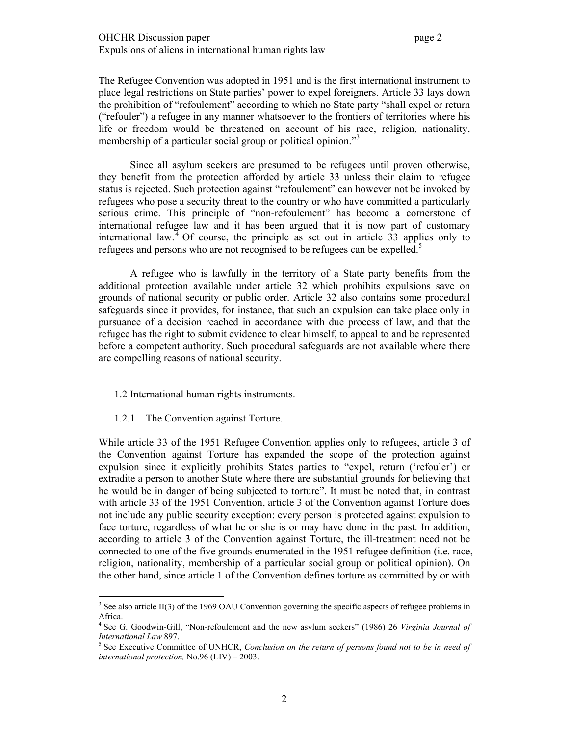The Refugee Convention was adopted in 1951 and is the first international instrument to place legal restrictions on State parties' power to expel foreigners. Article 33 lays down the prohibition of "refoulement" according to which no State party "shall expel or return ("refouler") a refugee in any manner whatsoever to the frontiers of territories where his life or freedom would be threatened on account of his race, religion, nationality, membership of a particular social group or political opinion."<sup>3</sup>

Since all asylum seekers are presumed to be refugees until proven otherwise, they benefit from the protection afforded by article 33 unless their claim to refugee status is rejected. Such protection against "refoulement" can however not be invoked by refugees who pose a security threat to the country or who have committed a particularly serious crime. This principle of "non-refoulement" has become a cornerstone of international refugee law and it has been argued that it is now part of customary international law.<sup>4</sup> Of course, the principle as set out in article  $\overline{33}$  applies only to refugees and persons who are not recognised to be refugees can be expelled.<sup>5</sup>

A refugee who is lawfully in the territory of a State party benefits from the additional protection available under article 32 which prohibits expulsions save on grounds of national security or public order. Article 32 also contains some procedural safeguards since it provides, for instance, that such an expulsion can take place only in pursuance of a decision reached in accordance with due process of law, and that the refugee has the right to submit evidence to clear himself, to appeal to and be represented before a competent authority. Such procedural safeguards are not available where there are compelling reasons of national security.

# 1.2 International human rights instruments.

1.2.1 The Convention against Torture.

While article 33 of the 1951 Refugee Convention applies only to refugees, article 3 of the Convention against Torture has expanded the scope of the protection against expulsion since it explicitly prohibits States parties to "expel, return ('refouler') or extradite a person to another State where there are substantial grounds for believing that he would be in danger of being subjected to torture". It must be noted that, in contrast with article 33 of the 1951 Convention, article 3 of the Convention against Torture does not include any public security exception: every person is protected against expulsion to face torture, regardless of what he or she is or may have done in the past. In addition, according to article 3 of the Convention against Torture, the ill-treatment need not be connected to one of the five grounds enumerated in the 1951 refugee definition (i.e. race, religion, nationality, membership of a particular social group or political opinion). On the other hand, since article 1 of the Convention defines torture as committed by or with

 $3$  See also article II(3) of the 1969 OAU Convention governing the specific aspects of refugee problems in Africa.

<sup>&</sup>lt;sup>4</sup> See G. Goodwin-Gill, "Non-refoulement and the new asylum seekers" (1986) 26 *Virginia Journal of International Law* 897. 5

<sup>&</sup>lt;sup>5</sup> See Executive Committee of UNHCR, *Conclusion on the return of persons found not to be in need of international protection,* No.96 (LIV) – 2003.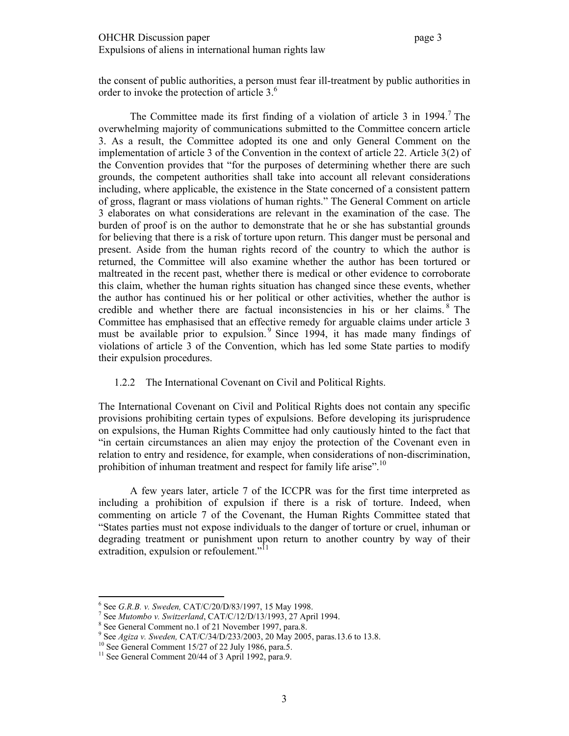the consent of public authorities, a person must fear ill-treatment by public authorities in order to invoke the protection of article 3.<sup>6</sup>

The Committee made its first finding of a violation of article 3 in  $1994.7$  The overwhelming majority of communications submitted to the Committee concern article 3. As a result, the Committee adopted its one and only General Comment on the implementation of article 3 of the Convention in the context of article 22. Article 3(2) of the Convention provides that "for the purposes of determining whether there are such grounds, the competent authorities shall take into account all relevant considerations including, where applicable, the existence in the State concerned of a consistent pattern of gross, flagrant or mass violations of human rights." The General Comment on article 3 elaborates on what considerations are relevant in the examination of the case. The burden of proof is on the author to demonstrate that he or she has substantial grounds for believing that there is a risk of torture upon return. This danger must be personal and present. Aside from the human rights record of the country to which the author is returned, the Committee will also examine whether the author has been tortured or maltreated in the recent past, whether there is medical or other evidence to corroborate this claim, whether the human rights situation has changed since these events, whether the author has continued his or her political or other activities, whether the author is credible and whether there are factual inconsistencies in his or her claims. 8 The Committee has emphasised that an effective remedy for arguable claims under article 3 must be available prior to expulsion.<sup>9</sup> Since 1994, it has made many findings of violations of article 3 of the Convention, which has led some State parties to modify their expulsion procedures.

# 1.2.2 The International Covenant on Civil and Political Rights.

The International Covenant on Civil and Political Rights does not contain any specific provisions prohibiting certain types of expulsions. Before developing its jurisprudence on expulsions, the Human Rights Committee had only cautiously hinted to the fact that "in certain circumstances an alien may enjoy the protection of the Covenant even in relation to entry and residence, for example, when considerations of non-discrimination, prohibition of inhuman treatment and respect for family life arise".<sup>10</sup>

A few years later, article 7 of the ICCPR was for the first time interpreted as including a prohibition of expulsion if there is a risk of torture. Indeed, when commenting on article 7 of the Covenant, the Human Rights Committee stated that "States parties must not expose individuals to the danger of torture or cruel, inhuman or degrading treatment or punishment upon return to another country by way of their extradition, expulsion or refoulement."<sup>11</sup>

<sup>&</sup>lt;sup>6</sup> See *G.R.B. v. Sweden,* CAT/C/20/D/83/1997, 15 May 1998.<br><sup>7</sup> See Mutambo v. Switzerland, CAT/C/12/D/12/1003, 27 April

<sup>&</sup>lt;sup>7</sup> See *Mutombo v. Switzerland*, CAT/C/12/D/13/1993, 27 April 1994.

<sup>&</sup>lt;sup>8</sup> See General Comment no.1 of 21 November 1997, para.8.

<sup>&</sup>lt;sup>9</sup> See *Agiza v. Sweden, CAT/C/34/D/233/2003*, 20 May 2005, paras.13.6 to 13.8. <sup>10</sup> See General Comment 15/27 of 22 July 1986, para.5.

<sup>&</sup>lt;sup>10</sup> See General Comment 15/27 of 22 July 1986, para.5.<br><sup>11</sup> See General Comment 20/44 of 3 April 1992, para.9.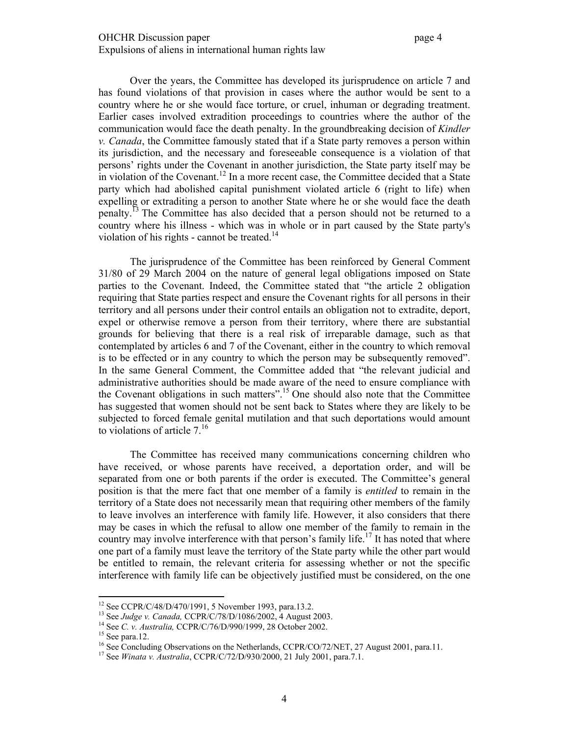Over the years, the Committee has developed its jurisprudence on article 7 and has found violations of that provision in cases where the author would be sent to a country where he or she would face torture, or cruel, inhuman or degrading treatment. Earlier cases involved extradition proceedings to countries where the author of the communication would face the death penalty. In the groundbreaking decision of *Kindler v. Canada*, the Committee famously stated that if a State party removes a person within its jurisdiction, and the necessary and foreseeable consequence is a violation of that persons' rights under the Covenant in another jurisdiction, the State party itself may be in violation of the Covenant.<sup>12</sup> In a more recent case, the Committee decided that a State party which had abolished capital punishment violated article 6 (right to life) when expelling or extraditing a person to another State where he or she would face the death penalty.13 The Committee has also decided that a person should not be returned to a country where his illness - which was in whole or in part caused by the State party's violation of his rights - cannot be treated.<sup>14</sup>

The jurisprudence of the Committee has been reinforced by General Comment 31/80 of 29 March 2004 on the nature of general legal obligations imposed on State parties to the Covenant. Indeed, the Committee stated that "the article 2 obligation requiring that State parties respect and ensure the Covenant rights for all persons in their territory and all persons under their control entails an obligation not to extradite, deport, expel or otherwise remove a person from their territory, where there are substantial grounds for believing that there is a real risk of irreparable damage, such as that contemplated by articles 6 and 7 of the Covenant, either in the country to which removal is to be effected or in any country to which the person may be subsequently removed". In the same General Comment, the Committee added that "the relevant judicial and administrative authorities should be made aware of the need to ensure compliance with the Covenant obligations in such matters".15 One should also note that the Committee has suggested that women should not be sent back to States where they are likely to be subjected to forced female genital mutilation and that such deportations would amount to violations of article  $7<sup>16</sup>$ 

The Committee has received many communications concerning children who have received, or whose parents have received, a deportation order, and will be separated from one or both parents if the order is executed. The Committee's general position is that the mere fact that one member of a family is *entitled* to remain in the territory of a State does not necessarily mean that requiring other members of the family to leave involves an interference with family life. However, it also considers that there may be cases in which the refusal to allow one member of the family to remain in the country may involve interference with that person's family life.<sup>17</sup> It has noted that where one part of a family must leave the territory of the State party while the other part would be entitled to remain, the relevant criteria for assessing whether or not the specific interference with family life can be objectively justified must be considered, on the one

<sup>&</sup>lt;sup>12</sup> See CCPR/C/48/D/470/1991, 5 November 1993, para.13.2.

<sup>&</sup>lt;sup>13</sup> See *Judge v. Canada, CCPR/C/78/D/1086/2002*, 4 August 2003.<br><sup>14</sup> See *C. v. Australia, CCPR/C/76/D/990/1999*, 28 October 2002.<br><sup>15</sup> See para.12.

<sup>&</sup>lt;sup>16</sup> See Concluding Observations on the Netherlands, CCPR/CO/72/NET, 27 August 2001, para.11.

<sup>17</sup> See *Winata v. Australia*, CCPR/C/72/D/930/2000, 21 July 2001, para.7.1.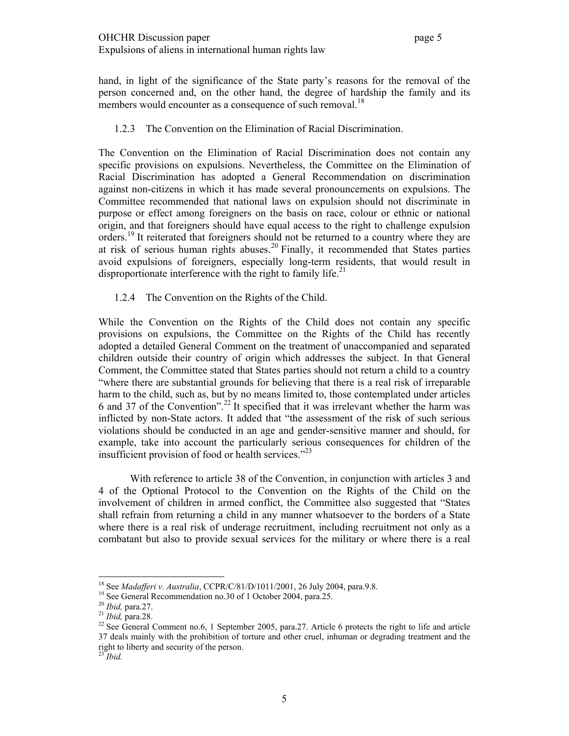hand, in light of the significance of the State party's reasons for the removal of the person concerned and, on the other hand, the degree of hardship the family and its members would encounter as a consequence of such removal.<sup>18</sup>

# 1.2.3 The Convention on the Elimination of Racial Discrimination.

The Convention on the Elimination of Racial Discrimination does not contain any specific provisions on expulsions. Nevertheless, the Committee on the Elimination of Racial Discrimination has adopted a General Recommendation on discrimination against non-citizens in which it has made several pronouncements on expulsions. The Committee recommended that national laws on expulsion should not discriminate in purpose or effect among foreigners on the basis on race, colour or ethnic or national origin, and that foreigners should have equal access to the right to challenge expulsion orders.<sup>19</sup> It reiterated that foreigners should not be returned to a country where they are at risk of serious human rights abuses.<sup>20</sup> Finally, it recommended that States parties avoid expulsions of foreigners, especially long-term residents, that would result in disproportionate interference with the right to family life.<sup>21</sup>

# 1.2.4 The Convention on the Rights of the Child.

While the Convention on the Rights of the Child does not contain any specific provisions on expulsions, the Committee on the Rights of the Child has recently adopted a detailed General Comment on the treatment of unaccompanied and separated children outside their country of origin which addresses the subject. In that General Comment, the Committee stated that States parties should not return a child to a country "where there are substantial grounds for believing that there is a real risk of irreparable harm to the child, such as, but by no means limited to, those contemplated under articles 6 and 37 of the Convention".<sup>22</sup> It specified that it was irrelevant whether the harm was inflicted by non-State actors. It added that "the assessment of the risk of such serious violations should be conducted in an age and gender-sensitive manner and should, for example, take into account the particularly serious consequences for children of the insufficient provision of food or health services."<sup>23</sup>

 With reference to article 38 of the Convention, in conjunction with articles 3 and 4 of the Optional Protocol to the Convention on the Rights of the Child on the involvement of children in armed conflict, the Committee also suggested that "States shall refrain from returning a child in any manner whatsoever to the borders of a State where there is a real risk of underage recruitment, including recruitment not only as a combatant but also to provide sexual services for the military or where there is a real

<sup>&</sup>lt;sup>18</sup> See *Madafferi v. Australia*, CCPR/C/81/D/1011/2001, 26 July 2004, para.9.8. <sup>19</sup> See General Recommendation no.30 of 1 October 2004, para.25.

<sup>&</sup>lt;sup>19</sup> See General Recommendation no.30 of 1 October 2004, para.25.<br><sup>20</sup> *Ibid*, para.27.<br><sup>21</sup> *Ibid*, para.28.<br><sup>22</sup> See General Comment no.6, 1 September 2005, para.27. Article 6 protects the right to life and article 37 deals mainly with the prohibition of torture and other cruel, inhuman or degrading treatment and the right to liberty and security of the person.

<sup>23</sup> *Ibid.*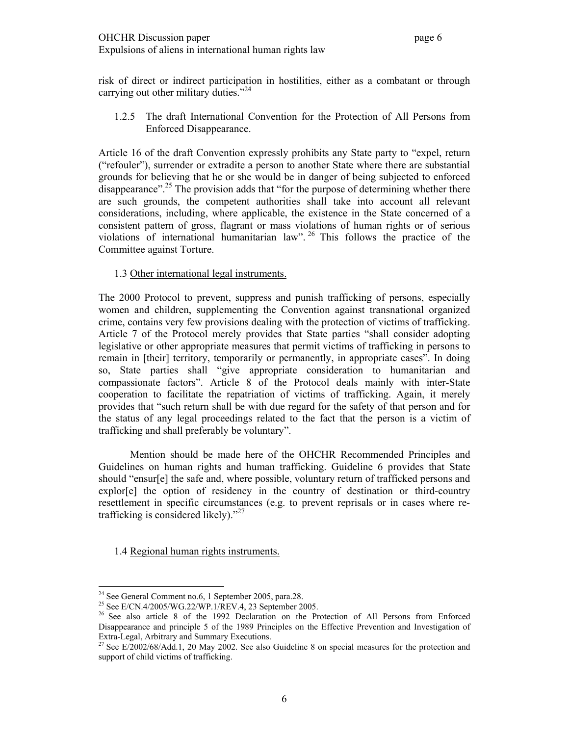risk of direct or indirect participation in hostilities, either as a combatant or through carrying out other military duties."<sup>24</sup>

1.2.5 The draft International Convention for the Protection of All Persons from Enforced Disappearance.

Article 16 of the draft Convention expressly prohibits any State party to "expel, return ("refouler"), surrender or extradite a person to another State where there are substantial grounds for believing that he or she would be in danger of being subjected to enforced disappearance".<sup>25</sup> The provision adds that "for the purpose of determining whether there are such grounds, the competent authorities shall take into account all relevant considerations, including, where applicable, the existence in the State concerned of a consistent pattern of gross, flagrant or mass violations of human rights or of serious violations of international humanitarian law". 26 This follows the practice of the Committee against Torture.

# 1.3 Other international legal instruments.

The 2000 Protocol to prevent, suppress and punish trafficking of persons, especially women and children, supplementing the Convention against transnational organized crime, contains very few provisions dealing with the protection of victims of trafficking. Article 7 of the Protocol merely provides that State parties "shall consider adopting legislative or other appropriate measures that permit victims of trafficking in persons to remain in [their] territory, temporarily or permanently, in appropriate cases". In doing so, State parties shall "give appropriate consideration to humanitarian and compassionate factors". Article 8 of the Protocol deals mainly with inter-State cooperation to facilitate the repatriation of victims of trafficking. Again, it merely provides that "such return shall be with due regard for the safety of that person and for the status of any legal proceedings related to the fact that the person is a victim of trafficking and shall preferably be voluntary".

 Mention should be made here of the OHCHR Recommended Principles and Guidelines on human rights and human trafficking. Guideline 6 provides that State should "ensur[e] the safe and, where possible, voluntary return of trafficked persons and explor[e] the option of residency in the country of destination or third-country resettlement in specific circumstances (e.g. to prevent reprisals or in cases where retrafficking is considered likely). $"^{27}$ 

1.4 Regional human rights instruments.

 $2<sup>24</sup>$  See General Comment no.6, 1 September 2005, para.28.

<sup>&</sup>lt;sup>25</sup> See E/CN.4/2005/WG.22/WP.1/REV.4, 23 September 2005.<br><sup>26</sup> See also article 8 of the 1992 Declaration on the Protection of All Persons from Enforced Disappearance and principle 5 of the 1989 Principles on the Effective Prevention and Investigation of Extra-Legal, Arbitrary and Summary Executions.

<sup>&</sup>lt;sup>27</sup> See E/2002/68/Add.1, 20 May 2002. See also Guideline 8 on special measures for the protection and support of child victims of trafficking.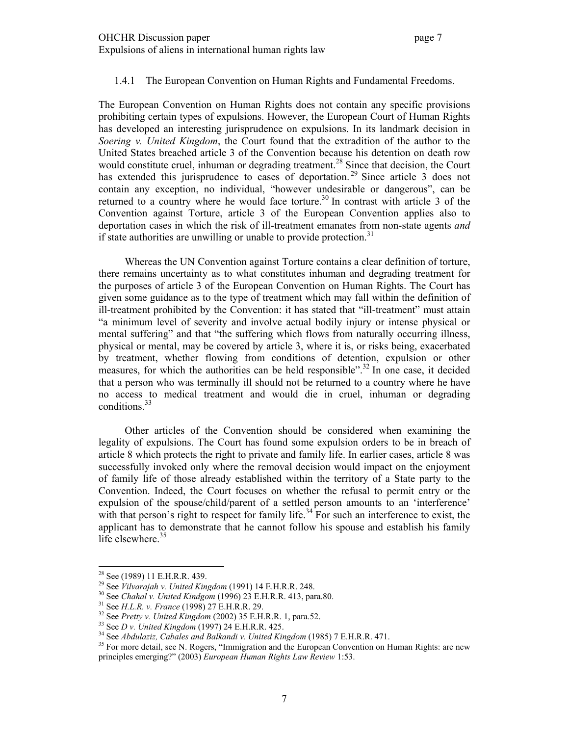#### 1.4.1 The European Convention on Human Rights and Fundamental Freedoms.

The European Convention on Human Rights does not contain any specific provisions prohibiting certain types of expulsions. However, the European Court of Human Rights has developed an interesting jurisprudence on expulsions. In its landmark decision in *Soering v. United Kingdom*, the Court found that the extradition of the author to the United States breached article 3 of the Convention because his detention on death row would constitute cruel, inhuman or degrading treatment.<sup>28</sup> Since that decision, the Court has extended this jurisprudence to cases of deportation.<sup>29</sup> Since article 3 does not contain any exception, no individual, "however undesirable or dangerous", can be returned to a country where he would face torture.<sup>30</sup> In contrast with article 3 of the Convention against Torture, article 3 of the European Convention applies also to deportation cases in which the risk of ill-treatment emanates from non-state agents *and* if state authorities are unwilling or unable to provide protection.<sup>31</sup>

Whereas the UN Convention against Torture contains a clear definition of torture, there remains uncertainty as to what constitutes inhuman and degrading treatment for the purposes of article 3 of the European Convention on Human Rights. The Court has given some guidance as to the type of treatment which may fall within the definition of ill-treatment prohibited by the Convention: it has stated that "ill-treatment" must attain "a minimum level of severity and involve actual bodily injury or intense physical or mental suffering" and that "the suffering which flows from naturally occurring illness, physical or mental, may be covered by article 3, where it is, or risks being, exacerbated by treatment, whether flowing from conditions of detention, expulsion or other measures, for which the authorities can be held responsible".<sup>32</sup> In one case, it decided that a person who was terminally ill should not be returned to a country where he have no access to medical treatment and would die in cruel, inhuman or degrading conditions.<sup>33</sup>

Other articles of the Convention should be considered when examining the legality of expulsions. The Court has found some expulsion orders to be in breach of article 8 which protects the right to private and family life. In earlier cases, article 8 was successfully invoked only where the removal decision would impact on the enjoyment of family life of those already established within the territory of a State party to the Convention. Indeed, the Court focuses on whether the refusal to permit entry or the expulsion of the spouse/child/parent of a settled person amounts to an 'interference' with that person's right to respect for family life.<sup>34</sup> For such an interference to exist, the applicant has to demonstrate that he cannot follow his spouse and establish his family life elsewhere. $35$ 

<sup>&</sup>lt;sup>28</sup> See (1989) 11 E.H.R.R. 439.<br><sup>29</sup> See *Vilvarajah v. United Kingdom* (1991) 14 E.H.R.R. 248.

<sup>&</sup>lt;sup>30</sup> See *Chahal v. United Kindgom* (1996) 23 E.H.R.R. 413, para.80.<br><sup>31</sup> See *H.L.R. v. France* (1998) 27 E.H.R.R. 29.<br><sup>32</sup> See *Pretty v. United Kingdom* (2002) 35 E.H.R.R. 1, para.52.<br><sup>33</sup> See *D v. United Kingdom* (19 principles emerging?" (2003) *European Human Rights Law Review* 1:53.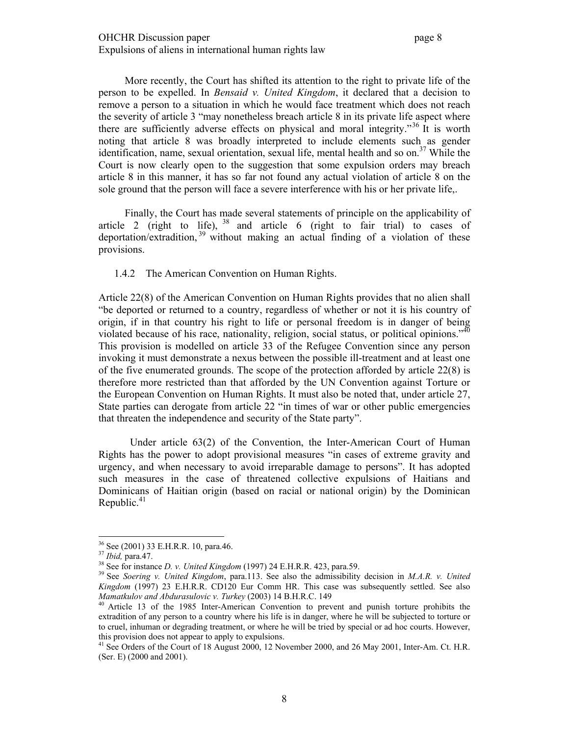More recently, the Court has shifted its attention to the right to private life of the person to be expelled. In *Bensaid v. United Kingdom*, it declared that a decision to remove a person to a situation in which he would face treatment which does not reach the severity of article 3 "may nonetheless breach article 8 in its private life aspect where there are sufficiently adverse effects on physical and moral integrity."36 It is worth noting that article 8 was broadly interpreted to include elements such as gender identification, name, sexual orientation, sexual life, mental health and so on.<sup>37</sup> While the Court is now clearly open to the suggestion that some expulsion orders may breach article 8 in this manner, it has so far not found any actual violation of article 8 on the sole ground that the person will face a severe interference with his or her private life,.

Finally, the Court has made several statements of principle on the applicability of article 2 (right to life),  $38$  and article 6 (right to fair trial) to cases of deportation/extradition, 39 without making an actual finding of a violation of these provisions.

#### 1.4.2 The American Convention on Human Rights.

Article 22(8) of the American Convention on Human Rights provides that no alien shall "be deported or returned to a country, regardless of whether or not it is his country of origin, if in that country his right to life or personal freedom is in danger of being violated because of his race, nationality, religion, social status, or political opinions."<sup>40</sup> This provision is modelled on article 33 of the Refugee Convention since any person invoking it must demonstrate a nexus between the possible ill-treatment and at least one of the five enumerated grounds. The scope of the protection afforded by article 22(8) is therefore more restricted than that afforded by the UN Convention against Torture or the European Convention on Human Rights. It must also be noted that, under article 27, State parties can derogate from article 22 "in times of war or other public emergencies that threaten the independence and security of the State party".

 Under article 63(2) of the Convention, the Inter-American Court of Human Rights has the power to adopt provisional measures "in cases of extreme gravity and urgency, and when necessary to avoid irreparable damage to persons". It has adopted such measures in the case of threatened collective expulsions of Haitians and Dominicans of Haitian origin (based on racial or national origin) by the Dominican Republic. $41$ 

 $3^{36}$  See (2001) 33 E.H.R.R. 10, para.46.<br> $3^{37}$  *Ibid*, para.47.

<sup>&</sup>lt;sup>38</sup> See for instance *D. v. United Kingdom* (1997) 24 E.H.R.R. 423, para.59.  $\frac{39}{10}$  See *Soering v. United Kingdom*, para.113. See also the admissibility decision in *M.A.R. v. United Kingdom* (1997) 23 E.H.R.R. CD120 Eur Comm HR. This case was subsequently settled. See also

*Mamatkulov and Abdurasulovic v. Turkey* (2003) 14 B.H.R.C. 149<br><sup>40</sup> Article 13 of the 1985 Inter-American Convention to prevent and punish torture prohibits the extradition of any person to a country where his life is in danger, where he will be subjected to torture or to cruel, inhuman or degrading treatment, or where he will be tried by special or ad hoc courts. However, this provision does not appear to apply to expulsions.

<sup>&</sup>lt;sup>41</sup> See Orders of the Court of 18 August 2000, 12 November 2000, and 26 May 2001, Inter-Am. Ct. H.R. (Ser. E) (2000 and 2001).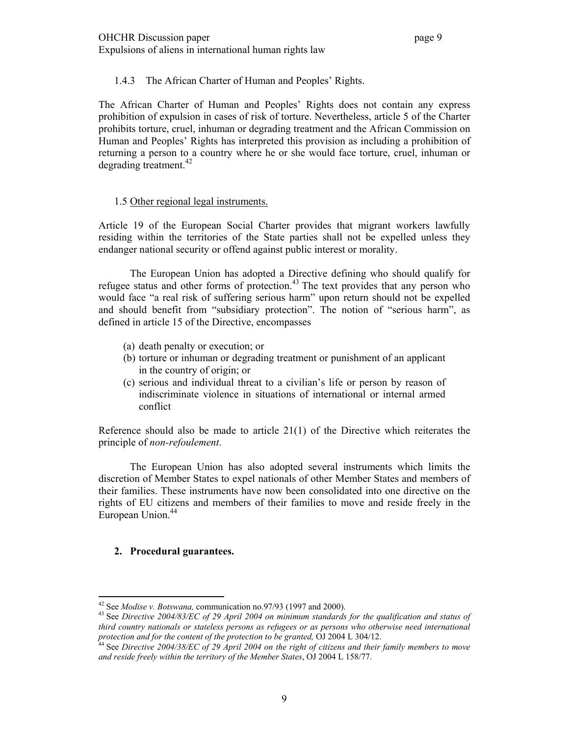# 1.4.3 The African Charter of Human and Peoples' Rights.

The African Charter of Human and Peoples' Rights does not contain any express prohibition of expulsion in cases of risk of torture. Nevertheless, article 5 of the Charter prohibits torture, cruel, inhuman or degrading treatment and the African Commission on Human and Peoples' Rights has interpreted this provision as including a prohibition of returning a person to a country where he or she would face torture, cruel, inhuman or degrading treatment.  $42$ 

# 1.5 Other regional legal instruments.

Article 19 of the European Social Charter provides that migrant workers lawfully residing within the territories of the State parties shall not be expelled unless they endanger national security or offend against public interest or morality.

The European Union has adopted a Directive defining who should qualify for refugee status and other forms of protection.<sup>43</sup> The text provides that any person who would face "a real risk of suffering serious harm" upon return should not be expelled and should benefit from "subsidiary protection". The notion of "serious harm", as defined in article 15 of the Directive, encompasses

- (a) death penalty or execution; or
- (b) torture or inhuman or degrading treatment or punishment of an applicant in the country of origin; or
- (c) serious and individual threat to a civilian's life or person by reason of indiscriminate violence in situations of international or internal armed conflict

Reference should also be made to article 21(1) of the Directive which reiterates the principle of *non-refoulement*.

 The European Union has also adopted several instruments which limits the discretion of Member States to expel nationals of other Member States and members of their families. These instruments have now been consolidated into one directive on the rights of EU citizens and members of their families to move and reside freely in the European Union.<sup>44</sup>

# **2. Procedural guarantees.**

 $42$  See *Modise v. Botswana*, communication no.97/93 (1997 and 2000).

<sup>&</sup>lt;sup>43</sup> See Directive 2004/83/EC of 29 April 2004 on minimum standards for the qualification and status of *third country nationals or stateless persons as refugees or as persons who otherwise need international protection and for the content of the protection to be granted, OJ 2004 L 304/12.*<br><sup>44</sup> See *Directive 2004/38/EC of 29 April 2004 on the right of citizens and their family members to move* 

*and reside freely within the territory of the Member States*, OJ 2004 L 158/77.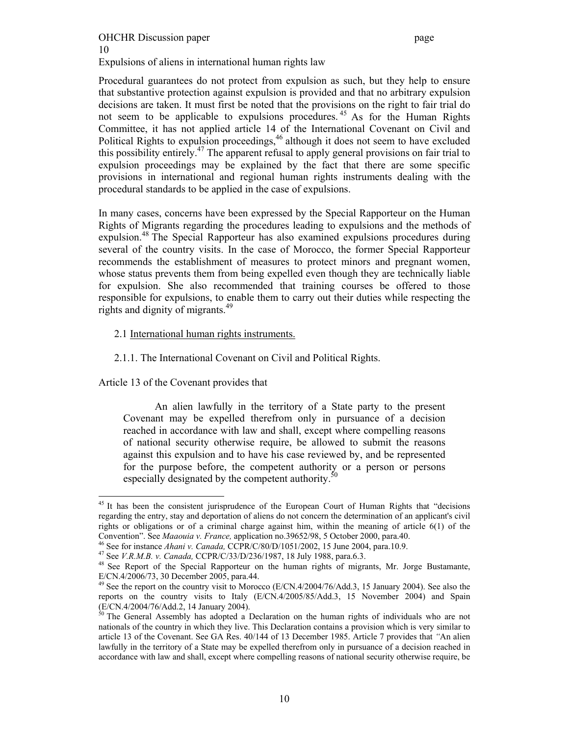# OHCHR Discussion paper page 10 Expulsions of aliens in international human rights law

Procedural guarantees do not protect from expulsion as such, but they help to ensure that substantive protection against expulsion is provided and that no arbitrary expulsion decisions are taken. It must first be noted that the provisions on the right to fair trial do not seem to be applicable to expulsions procedures.<sup>45</sup> As for the Human Rights Committee, it has not applied article 14 of the International Covenant on Civil and Political Rights to expulsion proceedings,<sup>46</sup> although it does not seem to have excluded this possibility entirely.47 The apparent refusal to apply general provisions on fair trial to expulsion proceedings may be explained by the fact that there are some specific provisions in international and regional human rights instruments dealing with the procedural standards to be applied in the case of expulsions.

In many cases, concerns have been expressed by the Special Rapporteur on the Human Rights of Migrants regarding the procedures leading to expulsions and the methods of expulsion.<sup>48</sup> The Special Rapporteur has also examined expulsions procedures during several of the country visits. In the case of Morocco, the former Special Rapporteur recommends the establishment of measures to protect minors and pregnant women, whose status prevents them from being expelled even though they are technically liable for expulsion. She also recommended that training courses be offered to those responsible for expulsions, to enable them to carry out their duties while respecting the rights and dignity of migrants.<sup>49</sup>

#### 2.1 International human rights instruments.

#### 2.1.1. The International Covenant on Civil and Political Rights.

Article 13 of the Covenant provides that

An alien lawfully in the territory of a State party to the present Covenant may be expelled therefrom only in pursuance of a decision reached in accordance with law and shall, except where compelling reasons of national security otherwise require, be allowed to submit the reasons against this expulsion and to have his case reviewed by, and be represented for the purpose before, the competent authority or a person or persons especially designated by the competent authority.<sup>50</sup>

 $\overline{a}$ <sup>45</sup> It has been the consistent jurisprudence of the European Court of Human Rights that "decisions" regarding the entry, stay and deportation of aliens do not concern the determination of an applicant's civil rights or obligations or of a criminal charge against him, within the meaning of article  $6(1)$  of the Convention". See *Maaouia v. France*, application no.39652/98, 5 October 2000, para.40.

<sup>&</sup>lt;sup>46</sup> See for instance *Ahani v. Canada*, CCPR/C/80/D/1051/2002, 15 June 2004, para.10.9.<br><sup>47</sup> See *V.R.M.B. v. Canada*, CCPR/C/33/D/236/1987, 18 July 1988, para.6.3.<br><sup>48</sup> See Report of the Special Rapporteur on the human E/CN.4/2006/73, 30 December 2005, para.44.

<sup>&</sup>lt;sup>49</sup> See the report on the country visit to Morocco (E/CN.4/2004/76/Add.3, 15 January 2004). See also the reports on the country visits to Italy (E/CN.4/2005/85/Add.3, 15 November 2004) and Spain (E/CN.4/2004/76/Add.2, 14 January 2004).

 $50$  The General Assembly has adopted a Declaration on the human rights of individuals who are not nationals of the country in which they live. This Declaration contains a provision which is very similar to article 13 of the Covenant. See GA Res. 40/144 of 13 December 1985. Article 7 provides that *"*An alien lawfully in the territory of a State may be expelled therefrom only in pursuance of a decision reached in accordance with law and shall, except where compelling reasons of national security otherwise require, be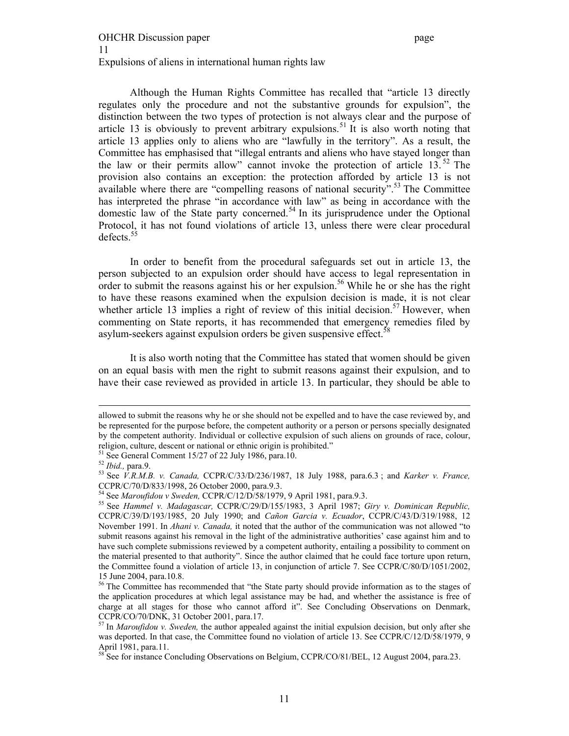Although the Human Rights Committee has recalled that "article 13 directly regulates only the procedure and not the substantive grounds for expulsion", the distinction between the two types of protection is not always clear and the purpose of article 13 is obviously to prevent arbitrary expulsions.<sup>51</sup> It is also worth noting that article 13 applies only to aliens who are "lawfully in the territory". As a result, the Committee has emphasised that "illegal entrants and aliens who have stayed longer than the law or their permits allow" cannot invoke the protection of article 13. $^{52}$  The provision also contains an exception: the protection afforded by article 13 is not available where there are "compelling reasons of national security".<sup>53</sup> The Committee has interpreted the phrase "in accordance with law" as being in accordance with the domestic law of the State party concerned.<sup>54</sup> In its jurisprudence under the Optional Protocol, it has not found violations of article 13, unless there were clear procedural defects.<sup>55</sup>

In order to benefit from the procedural safeguards set out in article 13, the person subjected to an expulsion order should have access to legal representation in order to submit the reasons against his or her expulsion.<sup>56</sup> While he or she has the right to have these reasons examined when the expulsion decision is made, it is not clear whether article 13 implies a right of review of this initial decision.<sup>57</sup> However, when commenting on State reports, it has recommended that emergency remedies filed by asylum-seekers against expulsion orders be given suspensive effect.<sup>58</sup>

It is also worth noting that the Committee has stated that women should be given on an equal basis with men the right to submit reasons against their expulsion, and to have their case reviewed as provided in article 13. In particular, they should be able to

allowed to submit the reasons why he or she should not be expelled and to have the case reviewed by, and be represented for the purpose before, the competent authority or a person or persons specially designated by the competent authority. Individual or collective expulsion of such aliens on grounds of race, colour, religion, culture, descent or national or ethnic origin is prohibited."

<sup>&</sup>lt;sup>51</sup> See General Comment 15/27 of 22 July 1986, para.10.<br><sup>52</sup> *Ibid.*, para.9.

<sup>52</sup> *Ibid.,* para.9. 53 See *V.R.M.B. v. Canada,* CCPR/C/33/D/236/1987, 18 July 1988, para.6.3 ; and *Karker v. France,*  CCPR/C/70/D/833/1998, 26 October 2000, para.9.3.<br><sup>54</sup> See Maroufidou v Sweden, CCPR/C/12/D/58/1979, 9 April 1981, para.9.3.

<sup>&</sup>lt;sup>55</sup> See *Hammel v. Madagascar, CCPR/C/29/D/155/1983*, 3 April 1987; *Giry v. Dominican Republic*, CCPR/C/39/D/193/1985, 20 July 1990; and *Cañon Garcia v. Ecuador*, CCPR/C/43/D/319/1988, 12 November 1991. In *Ahani v. Canada,* it noted that the author of the communication was not allowed "to submit reasons against his removal in the light of the administrative authorities' case against him and to have such complete submissions reviewed by a competent authority, entailing a possibility to comment on the material presented to that authority". Since the author claimed that he could face torture upon return, the Committee found a violation of article 13, in conjunction of article 7. See CCPR/C/80/D/1051/2002, 15 June 2004, para.10.8.

<sup>&</sup>lt;sup>56</sup> The Committee has recommended that "the State party should provide information as to the stages of the application procedures at which legal assistance may be had, and whether the assistance is free of charge at all stages for those who cannot afford it". See Concluding Observations on Denmark, CCPR/CO/70/DNK, 31 October 2001, para.17.

<sup>57</sup> In *Maroufidou v. Sweden,* the author appealed against the initial expulsion decision, but only after she was deported. In that case, the Committee found no violation of article 13. See CCPR/C/12/D/58/1979, 9 April 1981, para.11.

<sup>&</sup>lt;sup>58</sup> See for instance Concluding Observations on Belgium, CCPR/CO/81/BEL, 12 August 2004, para.23.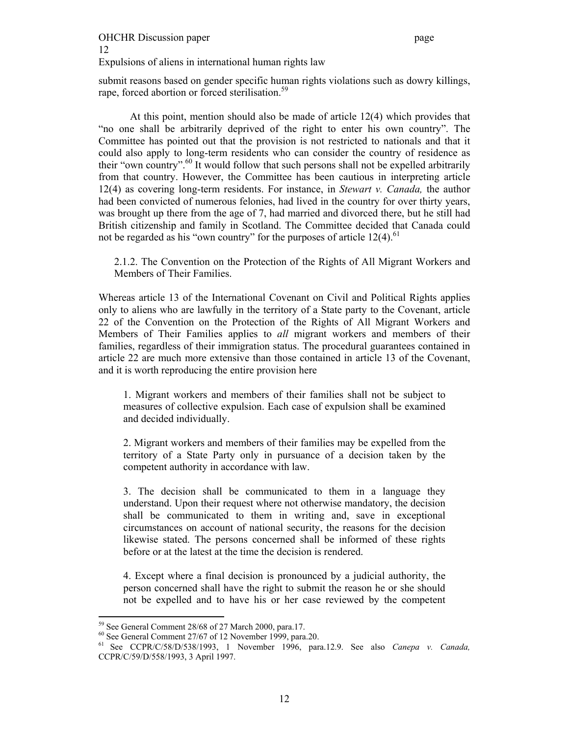# OHCHR Discussion paper page 12

Expulsions of aliens in international human rights law

submit reasons based on gender specific human rights violations such as dowry killings, rape, forced abortion or forced sterilisation.<sup>59</sup>

At this point, mention should also be made of article 12(4) which provides that "no one shall be arbitrarily deprived of the right to enter his own country". The Committee has pointed out that the provision is not restricted to nationals and that it could also apply to long-term residents who can consider the country of residence as their "own country".<sup>60</sup> It would follow that such persons shall not be expelled arbitrarily from that country. However, the Committee has been cautious in interpreting article 12(4) as covering long-term residents. For instance, in *Stewart v. Canada,* the author had been convicted of numerous felonies, had lived in the country for over thirty years, was brought up there from the age of 7, had married and divorced there, but he still had British citizenship and family in Scotland. The Committee decided that Canada could not be regarded as his "own country" for the purposes of article  $12(4)$ .<sup>61</sup>

2.1.2. The Convention on the Protection of the Rights of All Migrant Workers and Members of Their Families.

Whereas article 13 of the International Covenant on Civil and Political Rights applies only to aliens who are lawfully in the territory of a State party to the Covenant, article 22 of the Convention on the Protection of the Rights of All Migrant Workers and Members of Their Families applies to *all* migrant workers and members of their families, regardless of their immigration status. The procedural guarantees contained in article 22 are much more extensive than those contained in article 13 of the Covenant, and it is worth reproducing the entire provision here

1. Migrant workers and members of their families shall not be subject to measures of collective expulsion. Each case of expulsion shall be examined and decided individually.

2. Migrant workers and members of their families may be expelled from the territory of a State Party only in pursuance of a decision taken by the competent authority in accordance with law.

3. The decision shall be communicated to them in a language they understand. Upon their request where not otherwise mandatory, the decision shall be communicated to them in writing and, save in exceptional circumstances on account of national security, the reasons for the decision likewise stated. The persons concerned shall be informed of these rights before or at the latest at the time the decision is rendered.

4. Except where a final decision is pronounced by a judicial authority, the person concerned shall have the right to submit the reason he or she should not be expelled and to have his or her case reviewed by the competent

<sup>59</sup> See General Comment 28/68 of 27 March 2000, para.17.

<sup>60</sup> See General Comment 27/67 of 12 November 1999, para.20.

<sup>61</sup> See CCPR/C/58/D/538/1993, 1 November 1996, para.12.9. See also *Canepa v. Canada,*  CCPR/C/59/D/558/1993, 3 April 1997.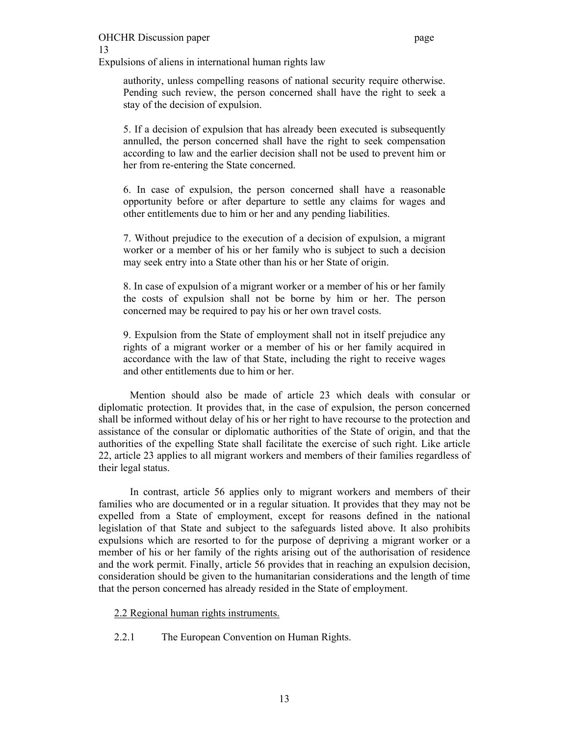Expulsions of aliens in international human rights law

authority, unless compelling reasons of national security require otherwise. Pending such review, the person concerned shall have the right to seek a stay of the decision of expulsion.

5. If a decision of expulsion that has already been executed is subsequently annulled, the person concerned shall have the right to seek compensation according to law and the earlier decision shall not be used to prevent him or her from re-entering the State concerned.

6. In case of expulsion, the person concerned shall have a reasonable opportunity before or after departure to settle any claims for wages and other entitlements due to him or her and any pending liabilities.

7. Without prejudice to the execution of a decision of expulsion, a migrant worker or a member of his or her family who is subject to such a decision may seek entry into a State other than his or her State of origin.

8. In case of expulsion of a migrant worker or a member of his or her family the costs of expulsion shall not be borne by him or her. The person concerned may be required to pay his or her own travel costs.

9. Expulsion from the State of employment shall not in itself prejudice any rights of a migrant worker or a member of his or her family acquired in accordance with the law of that State, including the right to receive wages and other entitlements due to him or her.

Mention should also be made of article 23 which deals with consular or diplomatic protection. It provides that, in the case of expulsion, the person concerned shall be informed without delay of his or her right to have recourse to the protection and assistance of the consular or diplomatic authorities of the State of origin, and that the authorities of the expelling State shall facilitate the exercise of such right. Like article 22, article 23 applies to all migrant workers and members of their families regardless of their legal status.

In contrast, article 56 applies only to migrant workers and members of their families who are documented or in a regular situation. It provides that they may not be expelled from a State of employment, except for reasons defined in the national legislation of that State and subject to the safeguards listed above. It also prohibits expulsions which are resorted to for the purpose of depriving a migrant worker or a member of his or her family of the rights arising out of the authorisation of residence and the work permit. Finally, article 56 provides that in reaching an expulsion decision, consideration should be given to the humanitarian considerations and the length of time that the person concerned has already resided in the State of employment.

2.2 Regional human rights instruments.

2.2.1 The European Convention on Human Rights.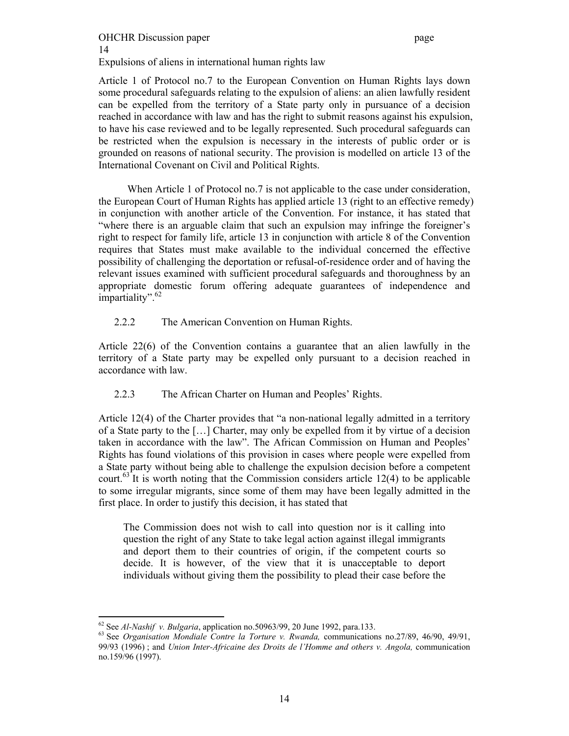# OHCHR Discussion paper page 14 Expulsions of aliens in international human rights law

Article 1 of Protocol no.7 to the European Convention on Human Rights lays down some procedural safeguards relating to the expulsion of aliens: an alien lawfully resident can be expelled from the territory of a State party only in pursuance of a decision reached in accordance with law and has the right to submit reasons against his expulsion, to have his case reviewed and to be legally represented. Such procedural safeguards can be restricted when the expulsion is necessary in the interests of public order or is grounded on reasons of national security. The provision is modelled on article 13 of the International Covenant on Civil and Political Rights.

 When Article 1 of Protocol no.7 is not applicable to the case under consideration, the European Court of Human Rights has applied article 13 (right to an effective remedy) in conjunction with another article of the Convention. For instance, it has stated that "where there is an arguable claim that such an expulsion may infringe the foreigner's right to respect for family life, article 13 in conjunction with article 8 of the Convention requires that States must make available to the individual concerned the effective possibility of challenging the deportation or refusal-of-residence order and of having the relevant issues examined with sufficient procedural safeguards and thoroughness by an appropriate domestic forum offering adequate guarantees of independence and impartiality".  $62$ 

# 2.2.2 The American Convention on Human Rights.

Article 22(6) of the Convention contains a guarantee that an alien lawfully in the territory of a State party may be expelled only pursuant to a decision reached in accordance with law.

# 2.2.3 The African Charter on Human and Peoples' Rights.

Article 12(4) of the Charter provides that "a non-national legally admitted in a territory of a State party to the […] Charter, may only be expelled from it by virtue of a decision taken in accordance with the law". The African Commission on Human and Peoples' Rights has found violations of this provision in cases where people were expelled from a State party without being able to challenge the expulsion decision before a competent court.<sup>63</sup> It is worth noting that the Commission considers article 12(4) to be applicable to some irregular migrants, since some of them may have been legally admitted in the first place. In order to justify this decision, it has stated that

The Commission does not wish to call into question nor is it calling into question the right of any State to take legal action against illegal immigrants and deport them to their countries of origin, if the competent courts so decide. It is however, of the view that it is unacceptable to deport individuals without giving them the possibility to plead their case before the

<sup>62</sup> See *Al-Nashif v. Bulgaria*, application no.50963/99, 20 June 1992, para.133. 63 See *Organisation Mondiale Contre la Torture v. Rwanda,* communications no.27/89, 46/90, 49/91, 99/93 (1996) ; and *Union Inter-Africaine des Droits de l'Homme and others v. Angola,* communication no.159/96 (1997).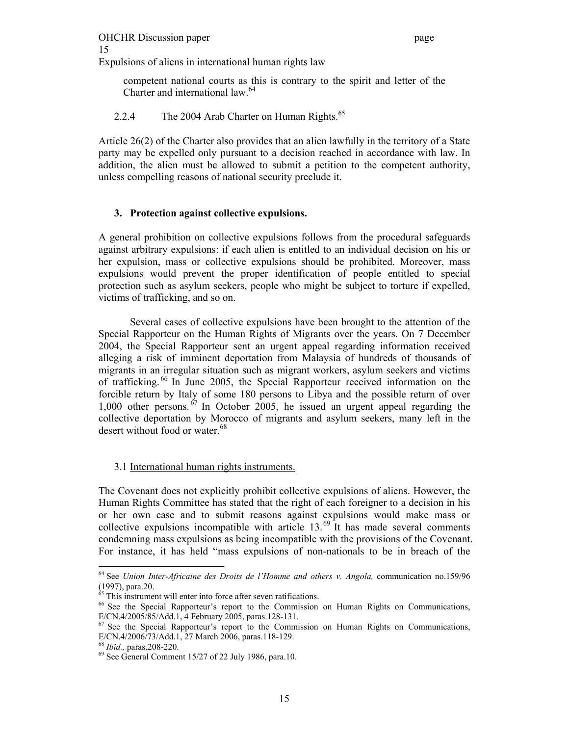# OHCHR Discussion paper page 15

Expulsions of aliens in international human rights law

competent national courts as this is contrary to the spirit and letter of the Charter and international law.<sup>64</sup>

2.2.4 The 2004 Arab Charter on Human Rights.<sup>65</sup>

Article 26(2) of the Charter also provides that an alien lawfully in the territory of a State party may be expelled only pursuant to a decision reached in accordance with law. In addition, the alien must be allowed to submit a petition to the competent authority, unless compelling reasons of national security preclude it.

# **3. Protection against collective expulsions.**

A general prohibition on collective expulsions follows from the procedural safeguards against arbitrary expulsions: if each alien is entitled to an individual decision on his or her expulsion, mass or collective expulsions should be prohibited. Moreover, mass expulsions would prevent the proper identification of people entitled to special protection such as asylum seekers, people who might be subject to torture if expelled, victims of trafficking, and so on.

 Several cases of collective expulsions have been brought to the attention of the Special Rapporteur on the Human Rights of Migrants over the years. On 7 December 2004, the Special Rapporteur sent an urgent appeal regarding information received alleging a risk of imminent deportation from Malaysia of hundreds of thousands of migrants in an irregular situation such as migrant workers, asylum seekers and victims of trafficking. 66 In June 2005, the Special Rapporteur received information on the forcible return by Italy of some 180 persons to Libya and the possible return of over 1,000 other persons.  $67$  In October 2005, he issued an urgent appeal regarding the collective deportation by Morocco of migrants and asylum seekers, many left in the desert without food or water.<sup>68</sup>

# 3.1 International human rights instruments.

The Covenant does not explicitly prohibit collective expulsions of aliens. However, the Human Rights Committee has stated that the right of each foreigner to a decision in his or her own case and to submit reasons against expulsions would make mass or collective expulsions incompatible with article  $13^{69}$  It has made several comments condemning mass expulsions as being incompatible with the provisions of the Covenant. For instance, it has held "mass expulsions of non-nationals to be in breach of the

 $\overline{a}$ 64 See *Union Inter-Africaine des Droits de l'Homme and others v. Angola,* communication no.159/96 (1997), para.20.

 $65$  This instrument will enter into force after seven ratifications.

<sup>66</sup> See the Special Rapporteur's report to the Commission on Human Rights on Communications, E/CN.4/2005/85/Add.1, 4 February 2005, paras.128-131.

 $67$  See the Special Rapporteur's report to the Commission on Human Rights on Communications, E/CN.4/2006/73/Add.1,  $\overline{27}$  March 2006, paras.118-129.<br><sup>68</sup> *Ibid.*, paras.208-220.

<sup>&</sup>lt;sup>69</sup> See General Comment 15/27 of 22 July 1986, para.10.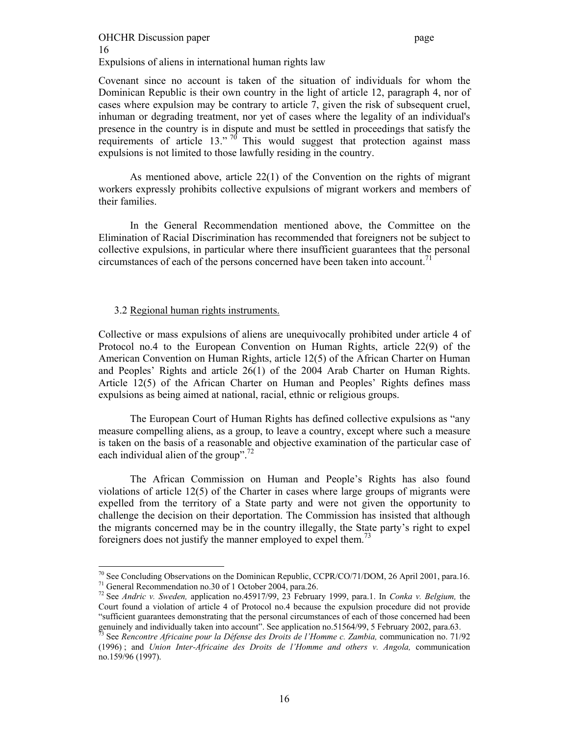### OHCHR Discussion paper page 16 Expulsions of aliens in international human rights law

Covenant since no account is taken of the situation of individuals for whom the Dominican Republic is their own country in the light of article 12, paragraph 4, nor of cases where expulsion may be contrary to article 7, given the risk of subsequent cruel, inhuman or degrading treatment, nor yet of cases where the legality of an individual's presence in the country is in dispute and must be settled in proceedings that satisfy the requirements of article  $13.^{70}$  This would suggest that protection against mass expulsions is not limited to those lawfully residing in the country.

As mentioned above, article 22(1) of the Convention on the rights of migrant workers expressly prohibits collective expulsions of migrant workers and members of their families.

In the General Recommendation mentioned above, the Committee on the Elimination of Racial Discrimination has recommended that foreigners not be subject to collective expulsions, in particular where there insufficient guarantees that the personal circumstances of each of the persons concerned have been taken into account.<sup>71</sup>

### 3.2 Regional human rights instruments.

 $\overline{a}$ 

Collective or mass expulsions of aliens are unequivocally prohibited under article 4 of Protocol no.4 to the European Convention on Human Rights, article 22(9) of the American Convention on Human Rights, article 12(5) of the African Charter on Human and Peoples' Rights and article 26(1) of the 2004 Arab Charter on Human Rights. Article 12(5) of the African Charter on Human and Peoples' Rights defines mass expulsions as being aimed at national, racial, ethnic or religious groups.

The European Court of Human Rights has defined collective expulsions as "any measure compelling aliens, as a group, to leave a country, except where such a measure is taken on the basis of a reasonable and objective examination of the particular case of each individual alien of the group".<sup>72</sup>

The African Commission on Human and People's Rights has also found violations of article 12(5) of the Charter in cases where large groups of migrants were expelled from the territory of a State party and were not given the opportunity to challenge the decision on their deportation. The Commission has insisted that although the migrants concerned may be in the country illegally, the State party's right to expel foreigners does not justify the manner employed to expel them.<sup>73</sup>

<sup>&</sup>lt;sup>70</sup> See Concluding Observations on the Dominican Republic, CCPR/CO/71/DOM, 26 April 2001, para.16. 71 General Recommendation no.30 of 1 October 2004, para.26.

<sup>72</sup> See *Andric v. Sweden,* application no.45917/99, 23 February 1999, para.1. In *Conka v. Belgium,* the Court found a violation of article 4 of Protocol no.4 because the expulsion procedure did not provide "sufficient guarantees demonstrating that the personal circumstances of each of those concerned had been genuinely and individually taken into account". See application no.51564/99, 5 February 2002, para.63.

<sup>73</sup> See *Rencontre Africaine pour la Défense des Droits de l'Homme c. Zambia,* communication no. 71/92 (1996) ; and *Union Inter-Africaine des Droits de l'Homme and others v. Angola,* communication no.159/96 (1997).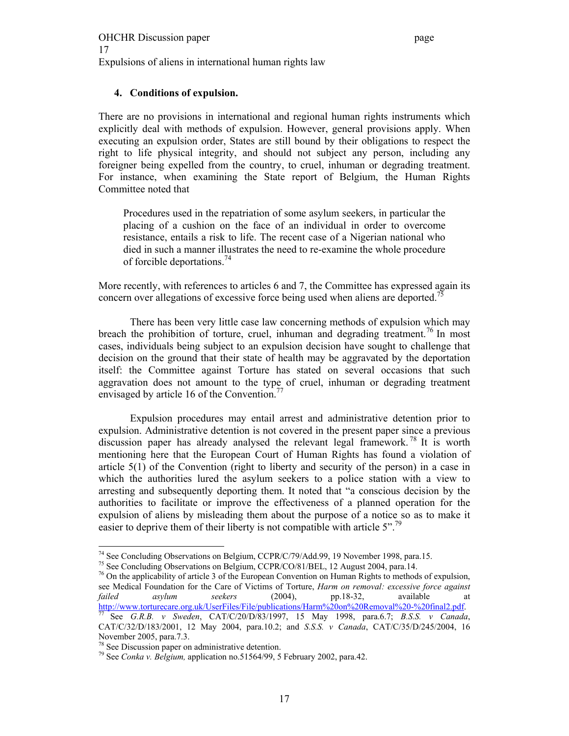# **4. Conditions of expulsion.**

There are no provisions in international and regional human rights instruments which explicitly deal with methods of expulsion. However, general provisions apply. When executing an expulsion order, States are still bound by their obligations to respect the right to life physical integrity, and should not subject any person, including any foreigner being expelled from the country, to cruel, inhuman or degrading treatment. For instance, when examining the State report of Belgium, the Human Rights Committee noted that

Procedures used in the repatriation of some asylum seekers, in particular the placing of a cushion on the face of an individual in order to overcome resistance, entails a risk to life. The recent case of a Nigerian national who died in such a manner illustrates the need to re-examine the whole procedure of forcible deportations.<sup>74</sup>

More recently, with references to articles 6 and 7, the Committee has expressed again its concern over allegations of excessive force being used when aliens are deported.<sup>75</sup>

There has been very little case law concerning methods of expulsion which may breach the prohibition of torture, cruel, inhuman and degrading treatment.<sup>76</sup> In most cases, individuals being subject to an expulsion decision have sought to challenge that decision on the ground that their state of health may be aggravated by the deportation itself: the Committee against Torture has stated on several occasions that such aggravation does not amount to the type of cruel, inhuman or degrading treatment envisaged by article 16 of the Convention.<sup>77</sup>

Expulsion procedures may entail arrest and administrative detention prior to expulsion. Administrative detention is not covered in the present paper since a previous discussion paper has already analysed the relevant legal framework.<sup>78</sup> It is worth mentioning here that the European Court of Human Rights has found a violation of article 5(1) of the Convention (right to liberty and security of the person) in a case in which the authorities lured the asylum seekers to a police station with a view to arresting and subsequently deporting them. It noted that "a conscious decision by the authorities to facilitate or improve the effectiveness of a planned operation for the expulsion of aliens by misleading them about the purpose of a notice so as to make it easier to deprive them of their liberty is not compatible with article  $5$ ".<sup>79</sup>

 $\overline{a}$ <sup>74</sup> See Concluding Observations on Belgium, CCPR/C/79/Add.99, 19 November 1998, para.15.

<sup>75</sup> See Concluding Observations on Belgium, CCPR/CO/81/BEL, 12 August 2004, para.14.

 $^{76}$  On the applicability of article 3 of the European Convention on Human Rights to methods of expulsion, see Medical Foundation for the Care of Victims of Torture, *Harm on removal: excessive force against failed asylum seekers* (2004), pp.18-32, available at http://www.torturecare.org.uk/UserFiles/File/publications/Harm%20on%20Removal%20-%20final2.pdf. 77 See *G.R.B. v Sweden*, CAT/C/20/D/83/1997, 15 May 1998, para.6.7; *B.S.S. v Canada*, CAT/C/32/D/183/2001, 12 May 2004, para.10.2; and *S.S.S. v Canada*, CAT/C/35/D/245/2004, 16 November 2005, para.7.3.

<sup>78</sup> See Discussion paper on administrative detention.

<sup>79</sup> See *Conka v. Belgium,* application no.51564/99, 5 February 2002, para.42.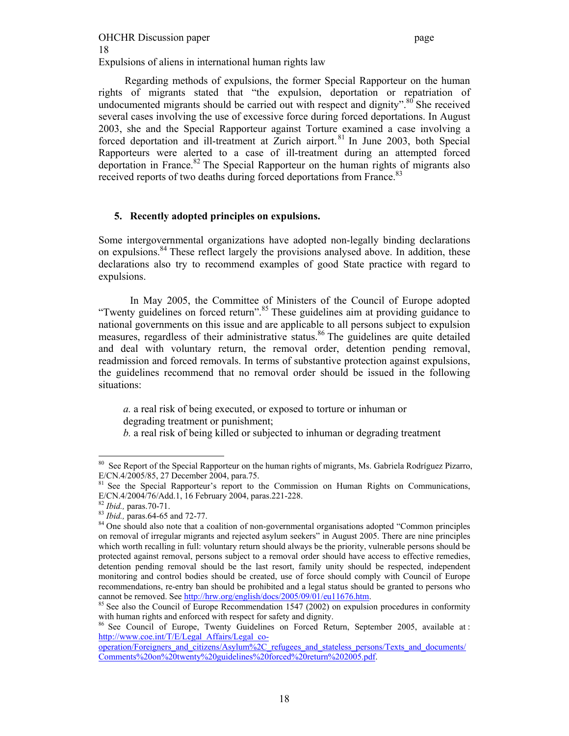Regarding methods of expulsions, the former Special Rapporteur on the human rights of migrants stated that "the expulsion, deportation or repatriation of undocumented migrants should be carried out with respect and dignity". $80$  She received several cases involving the use of excessive force during forced deportations. In August 2003, she and the Special Rapporteur against Torture examined a case involving a forced deportation and ill-treatment at Zurich airport.<sup>81</sup> In June 2003, both Special Rapporteurs were alerted to a case of ill-treatment during an attempted forced deportation in France.<sup>82</sup> The Special Rapporteur on the human rights of migrants also received reports of two deaths during forced deportations from France.<sup>83</sup>

# **5. Recently adopted principles on expulsions.**

Some intergovernmental organizations have adopted non-legally binding declarations on expulsions.84 These reflect largely the provisions analysed above. In addition, these declarations also try to recommend examples of good State practice with regard to expulsions.

In May 2005, the Committee of Ministers of the Council of Europe adopted "Twenty guidelines on forced return".<sup>85</sup> These guidelines aim at providing guidance to national governments on this issue and are applicable to all persons subject to expulsion measures, regardless of their administrative status.<sup>86</sup> The guidelines are quite detailed and deal with voluntary return, the removal order, detention pending removal, readmission and forced removals. In terms of substantive protection against expulsions, the guidelines recommend that no removal order should be issued in the following situations:

*a.* a real risk of being executed, or exposed to torture or inhuman or degrading treatment or punishment;

*b.* a real risk of being killed or subjected to inhuman or degrading treatment

 $\overline{a}$ <sup>80</sup> See Report of the Special Rapporteur on the human rights of migrants, Ms. Gabriela Rodríguez Pizarro, E/CN.4/2005/85, 27 December 2004, para.75.

<sup>&</sup>lt;sup>81</sup> See the Special Rapporteur's report to the Commission on Human Rights on Communications, E/CN.4/2004/76/Add.1, 16 February 2004, paras.221-228.<br><sup>82</sup> *Ibid.*, paras.70-71.

<sup>&</sup>lt;sup>83</sup> *Ibid.*, paras.64-65 and 72-77.<br><sup>84</sup> One should also note that a coalition of non-governmental organisations adopted "Common principles on removal of irregular migrants and rejected asylum seekers" in August 2005. There are nine principles which worth recalling in full: voluntary return should always be the priority, vulnerable persons should be protected against removal, persons subject to a removal order should have access to effective remedies, detention pending removal should be the last resort, family unity should be respected, independent monitoring and control bodies should be created, use of force should comply with Council of Europe recommendations, re-entry ban should be prohibited and a legal status should be granted to persons who cannot be removed. See http://hrw.org/english/docs/2005/09/01/eu11676.htm.<br><sup>85</sup> See also the Council of Europe Recommendation 1547 (2002) on expulsion procedures in conformity

with human rights and enforced with respect for safety and dignity.

<sup>&</sup>lt;sup>86</sup> See Council of Europe, Twenty Guidelines on Forced Return, September 2005, available at : http://www.coe.int/T/E/Legal\_Affairs/Legal\_co-

operation/Foreigners\_and\_citizens/Asylum%2C\_refugees\_and\_stateless\_persons/Texts\_and\_documents/ Comments%20on%20twenty%20guidelines%20forced%20return%202005.pdf.